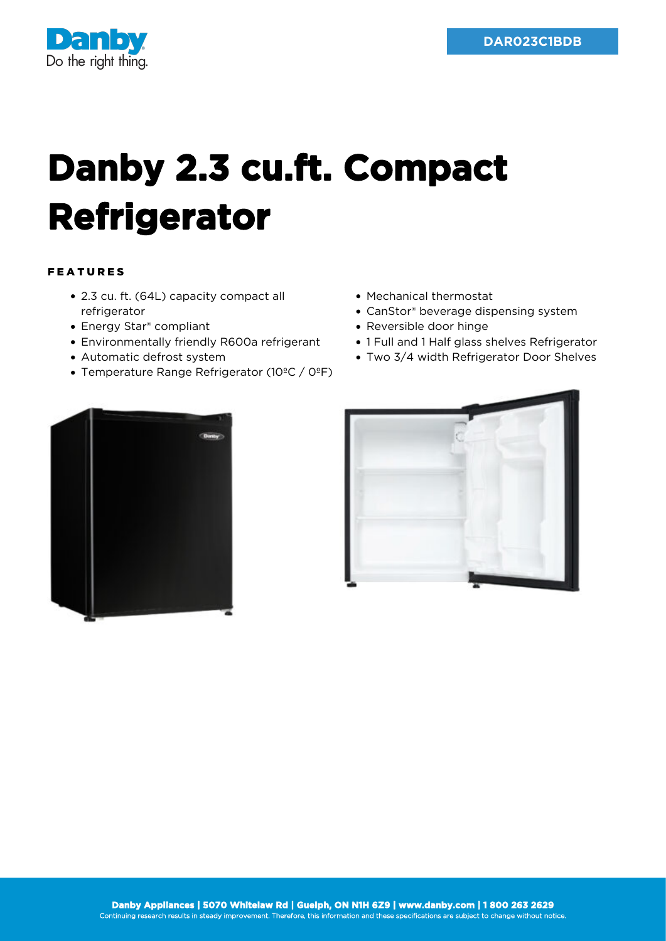

## **Danby 2.3 cu.ft. Compact Refrigerator**

## FEATURES

- 2.3 cu. ft. (64L) capacity compact all refrigerator
- Energy Star® compliant
- Environmentally friendly R600a refrigerant
- Automatic defrost system
- Temperature Range Refrigerator (10ºC / 0ºF)
- Mechanical thermostat
- CanStor® beverage dispensing system
- Reversible door hinge
- 1 Full and 1 Half glass shelves Refrigerator
- Two 3/4 width Refrigerator Door Shelves